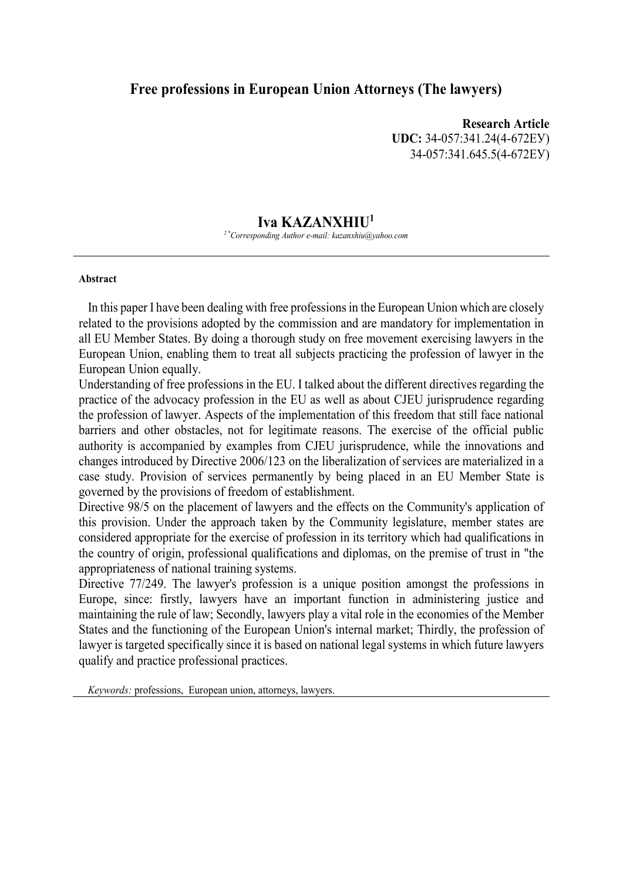### **Free professions in European Union Attorneys (The lawyers)**

**Research Article UDC:** 34-057:341.24(4-672ЕУ) 34-057:341.645.5(4-672ЕУ)

#### **Iva KAZANXHIU<sup>1</sup>**

*2 \*Corresponding Author e-mail: kazanxhiu@yahoo.com*

#### **Abstract**

In this paper I have been dealing with free professions in the European Union which are closely related to the provisions adopted by the commission and are mandatory for implementation in all EU Member States. By doing a thorough study on free movement exercising lawyers in the European Union, enabling them to treat all subjects practicing the profession of lawyer in the European Union equally.

Understanding of free professions in the EU. I talked about the different directives regarding the practice of the advocacy profession in the EU as well as about CJEU jurisprudence regarding the profession of lawyer. Aspects of the implementation of this freedom that still face national barriers and other obstacles, not for legitimate reasons. The exercise of the official public authority is accompanied by examples from CJEU jurisprudence, while the innovations and changes introduced by Directive 2006/123 on the liberalization of services are materialized in a case study. Provision of services permanently by being placed in an EU Member State is governed by the provisions of freedom of establishment.

Directive 98/5 on the placement of lawyers and the effects on the Community's application of this provision. Under the approach taken by the Community legislature, member states are considered appropriate for the exercise of profession in its territory which had qualifications in the country of origin, professional qualifications and diplomas, on the premise of trust in "the appropriateness of national training systems.

Directive 77/249. The lawyer's profession is a unique position amongst the professions in Europe, since: firstly, lawyers have an important function in administering justice and maintaining the rule of law; Secondly, lawyers play a vital role in the economies of the Member States and the functioning of the European Union's internal market; Thirdly, the profession of lawyer is targeted specifically since it is based on national legal systems in which future lawyers qualify and practice professional practices.

*Keywords:* professions, European union, attorneys, lawyers.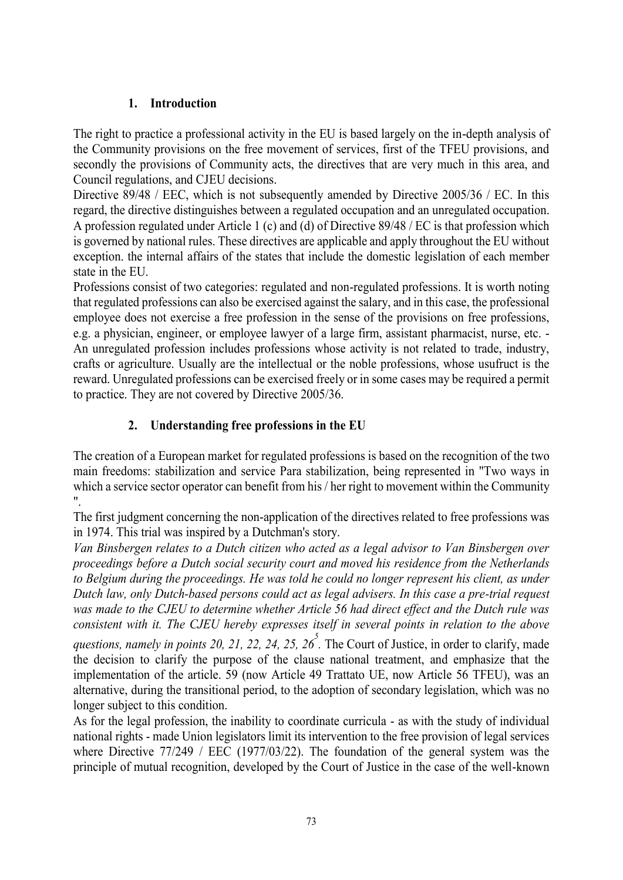## **1. Introduction**

The right to practice a professional activity in the EU is based largely on the in-depth analysis of the Community provisions on the free movement of services, first of the TFEU provisions, and secondly the provisions of Community acts, the directives that are very much in this area, and Council regulations, and CJEU decisions.

Directive 89/48 / EEC, which is not subsequently amended by Directive 2005/36 / EC. In this regard, the directive distinguishes between a regulated occupation and an unregulated occupation. A profession regulated under Article 1 (c) and (d) of Directive 89/48 / EC is that profession which is governed by national rules. These directives are applicable and apply throughout the EU without exception. the internal affairs of the states that include the domestic legislation of each member state in the EU.

Professions consist of two categories: regulated and non-regulated professions. It is worth noting that regulated professions can also be exercised against the salary, and in this case, the professional employee does not exercise a free profession in the sense of the provisions on free professions, e.g. a physician, engineer, or employee lawyer of a large firm, assistant pharmacist, nurse, etc. - An unregulated profession includes professions whose activity is not related to trade, industry, crafts or agriculture. Usually are the intellectual or the noble professions, whose usufruct is the reward. Unregulated professions can be exercised freely or in some cases may be required a permit to practice. They are not covered by Directive 2005/36.

# **2. Understanding free professions in the EU**

The creation of a European market for regulated professions is based on the recognition of the two main freedoms: stabilization and service Para stabilization, being represented in "Two ways in which a service sector operator can benefit from his / her right to movement within the Community ".

The first judgment concerning the non-application of the directives related to free professions was in 1974. This trial was inspired by a Dutchman's story.

*Van Binsbergen relates to a Dutch citizen who acted as a legal advisor to Van Binsbergen over proceedings before a Dutch social security court and moved his residence from the Netherlands to Belgium during the proceedings. He was told he could no longer represent his client, as under Dutch law, only Dutch-based persons could act as legal advisers. In this case a pre-trial request was made to the CJEU to determine whether Article 56 had direct effect and the Dutch rule was consistent with it. The CJEU hereby expresses itself in several points in relation to the above* 

questions, namely in points 20, 21, 22, 24, 25, 26<sup>5</sup>. The Court of Justice, in order to clarify, made the decision to clarify the purpose of the clause national treatment, and emphasize that the implementation of the article. 59 (now Article 49 Trattato UE, now Article 56 TFEU), was an alternative, during the transitional period, to the adoption of secondary legislation, which was no longer subject to this condition.

As for the legal profession, the inability to coordinate curricula - as with the study of individual national rights - made Union legislators limit its intervention to the free provision of legal services where Directive 77/249 / EEC (1977/03/22). The foundation of the general system was the principle of mutual recognition, developed by the Court of Justice in the case of the well-known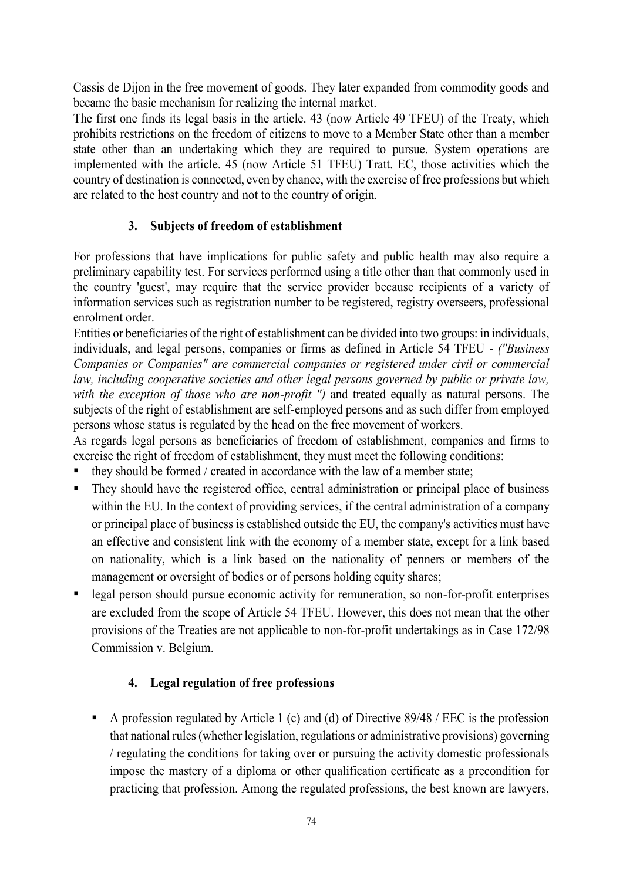Cassis de Dijon in the free movement of goods. They later expanded from commodity goods and became the basic mechanism for realizing the internal market.

The first one finds its legal basis in the article. 43 (now Article 49 TFEU) of the Treaty, which prohibits restrictions on the freedom of citizens to move to a Member State other than a member state other than an undertaking which they are required to pursue. System operations are implemented with the article. 45 (now Article 51 TFEU) Tratt. EC, those activities which the country of destination is connected, even by chance, with the exercise of free professions but which are related to the host country and not to the country of origin.

## **3. Subjects of freedom of establishment**

For professions that have implications for public safety and public health may also require a preliminary capability test. For services performed using a title other than that commonly used in the country 'guest', may require that the service provider because recipients of a variety of information services such as registration number to be registered, registry overseers, professional enrolment order.

Entities or beneficiaries of the right of establishment can be divided into two groups: in individuals, individuals, and legal persons, companies or firms as defined in Article 54 TFEU - *("Business Companies or Companies" are commercial companies or registered under civil or commercial law, including cooperative societies and other legal persons governed by public or private law,*  with the exception of those who are non-profit ") and treated equally as natural persons. The subjects of the right of establishment are self-employed persons and as such differ from employed persons whose status is regulated by the head on the free movement of workers.

As regards legal persons as beneficiaries of freedom of establishment, companies and firms to exercise the right of freedom of establishment, they must meet the following conditions:

- they should be formed / created in accordance with the law of a member state;
- They should have the registered office, central administration or principal place of business within the EU. In the context of providing services, if the central administration of a company or principal place of business is established outside the EU, the company's activities must have an effective and consistent link with the economy of a member state, except for a link based on nationality, which is a link based on the nationality of penners or members of the management or oversight of bodies or of persons holding equity shares;
- **Example 1** legal person should pursue economic activity for remuneration, so non-for-profit enterprises are excluded from the scope of Article 54 TFEU. However, this does not mean that the other provisions of the Treaties are not applicable to non-for-profit undertakings as in Case 172/98 Commission v. Belgium.

# **4. Legal regulation of free professions**

A profession regulated by Article 1 (c) and (d) of Directive  $89/48$  / EEC is the profession that national rules (whether legislation, regulations or administrative provisions) governing / regulating the conditions for taking over or pursuing the activity domestic professionals impose the mastery of a diploma or other qualification certificate as a precondition for practicing that profession. Among the regulated professions, the best known are lawyers,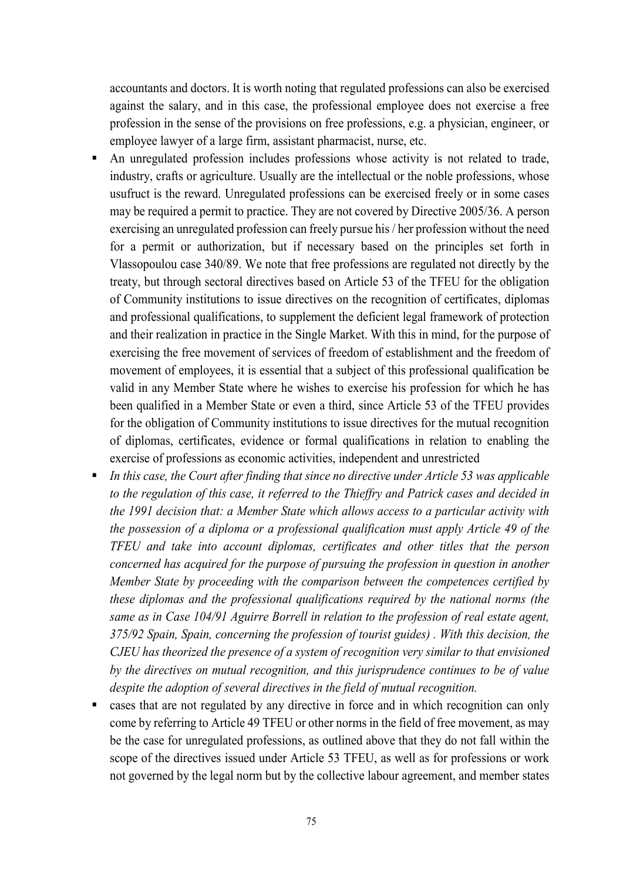accountants and doctors. It is worth noting that regulated professions can also be exercised against the salary, and in this case, the professional employee does not exercise a free profession in the sense of the provisions on free professions, e.g. a physician, engineer, or employee lawyer of a large firm, assistant pharmacist, nurse, etc.

- An unregulated profession includes professions whose activity is not related to trade, industry, crafts or agriculture. Usually are the intellectual or the noble professions, whose usufruct is the reward. Unregulated professions can be exercised freely or in some cases may be required a permit to practice. They are not covered by Directive 2005/36. A person exercising an unregulated profession can freely pursue his / her profession without the need for a permit or authorization, but if necessary based on the principles set forth in Vlassopoulou case 340/89. We note that free professions are regulated not directly by the treaty, but through sectoral directives based on Article 53 of the TFEU for the obligation of Community institutions to issue directives on the recognition of certificates, diplomas and professional qualifications, to supplement the deficient legal framework of protection and their realization in practice in the Single Market. With this in mind, for the purpose of exercising the free movement of services of freedom of establishment and the freedom of movement of employees, it is essential that a subject of this professional qualification be valid in any Member State where he wishes to exercise his profession for which he has been qualified in a Member State or even a third, since Article 53 of the TFEU provides for the obligation of Community institutions to issue directives for the mutual recognition of diplomas, certificates, evidence or formal qualifications in relation to enabling the exercise of professions as economic activities, independent and unrestricted
- *In this case, the Court after finding that since no directive under Article 53 was applicable to the regulation of this case, it referred to the Thieffry and Patrick cases and decided in the 1991 decision that: a Member State which allows access to a particular activity with the possession of a diploma or a professional qualification must apply Article 49 of the TFEU and take into account diplomas, certificates and other titles that the person concerned has acquired for the purpose of pursuing the profession in question in another Member State by proceeding with the comparison between the competences certified by these diplomas and the professional qualifications required by the national norms (the same as in Case 104/91 Aguirre Borrell in relation to the profession of real estate agent, 375/92 Spain, Spain, concerning the profession of tourist guides) . With this decision, the CJEU has theorized the presence of a system of recognition very similar to that envisioned by the directives on mutual recognition, and this jurisprudence continues to be of value despite the adoption of several directives in the field of mutual recognition.*
- cases that are not regulated by any directive in force and in which recognition can only come by referring to Article 49 TFEU or other norms in the field of free movement, as may be the case for unregulated professions, as outlined above that they do not fall within the scope of the directives issued under Article 53 TFEU, as well as for professions or work not governed by the legal norm but by the collective labour agreement, and member states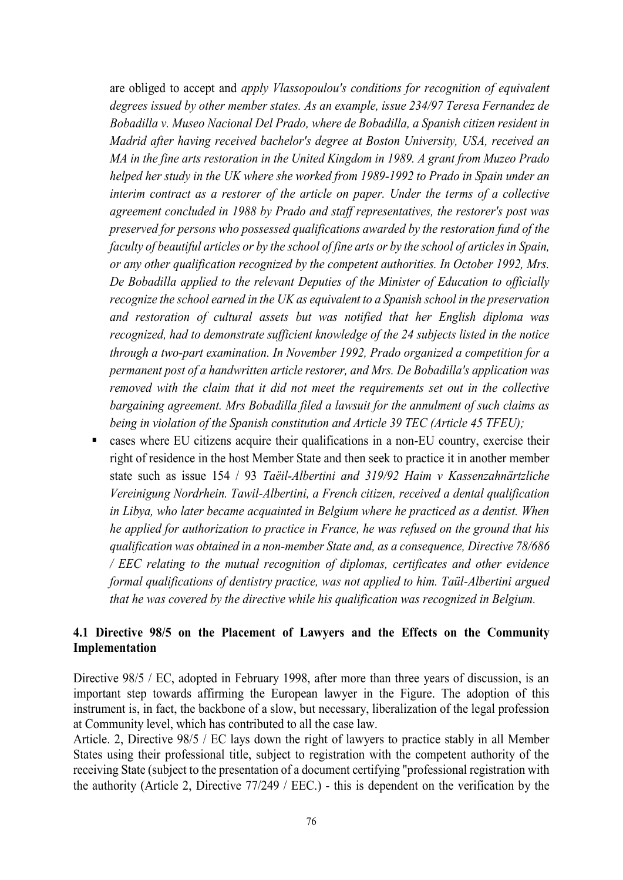are obliged to accept and *apply Vlassopoulou's conditions for recognition of equivalent degrees issued by other member states. As an example, issue 234/97 Teresa Fernandez de Bobadilla v. Museo Nacional Del Prado, where de Bobadilla, a Spanish citizen resident in Madrid after having received bachelor's degree at Boston University, USA, received an MA in the fine arts restoration in the United Kingdom in 1989. A grant from Muzeo Prado helped her study in the UK where she worked from 1989-1992 to Prado in Spain under an interim contract as a restorer of the article on paper. Under the terms of a collective agreement concluded in 1988 by Prado and staff representatives, the restorer's post was preserved for persons who possessed qualifications awarded by the restoration fund of the faculty of beautiful articles or by the school of fine arts or by the school of articles in Spain, or any other qualification recognized by the competent authorities. In October 1992, Mrs. De Bobadilla applied to the relevant Deputies of the Minister of Education to officially recognize the school earned in the UK as equivalent to a Spanish school in the preservation and restoration of cultural assets but was notified that her English diploma was recognized, had to demonstrate sufficient knowledge of the 24 subjects listed in the notice through a two-part examination. In November 1992, Prado organized a competition for a permanent post of a handwritten article restorer, and Mrs. De Bobadilla's application was removed with the claim that it did not meet the requirements set out in the collective bargaining agreement. Mrs Bobadilla filed a lawsuit for the annulment of such claims as being in violation of the Spanish constitution and Article 39 TEC (Article 45 TFEU);*

 cases where EU citizens acquire their qualifications in a non-EU country, exercise their right of residence in the host Member State and then seek to practice it in another member state such as issue 154 / 93 *Taëil-Albertini and 319/92 Haim v Kassenzahnärtzliche Vereinigung Nordrhein. Tawil-Albertini, a French citizen, received a dental qualification in Libya, who later became acquainted in Belgium where he practiced as a dentist. When he applied for authorization to practice in France, he was refused on the ground that his qualification was obtained in a non-member State and, as a consequence, Directive 78/686 / EEC relating to the mutual recognition of diplomas, certificates and other evidence formal qualifications of dentistry practice, was not applied to him. Taül-Albertini argued that he was covered by the directive while his qualification was recognized in Belgium.*

### **4.1 Directive 98/5 on the Placement of Lawyers and the Effects on the Community Implementation**

Directive 98/5 / EC, adopted in February 1998, after more than three years of discussion, is an important step towards affirming the European lawyer in the Figure. The adoption of this instrument is, in fact, the backbone of a slow, but necessary, liberalization of the legal profession at Community level, which has contributed to all the case law.

Article. 2, Directive 98/5 / EC lays down the right of lawyers to practice stably in all Member States using their professional title, subject to registration with the competent authority of the receiving State (subject to the presentation of a document certifying "professional registration with the authority (Article 2, Directive 77/249 / EEC.) - this is dependent on the verification by the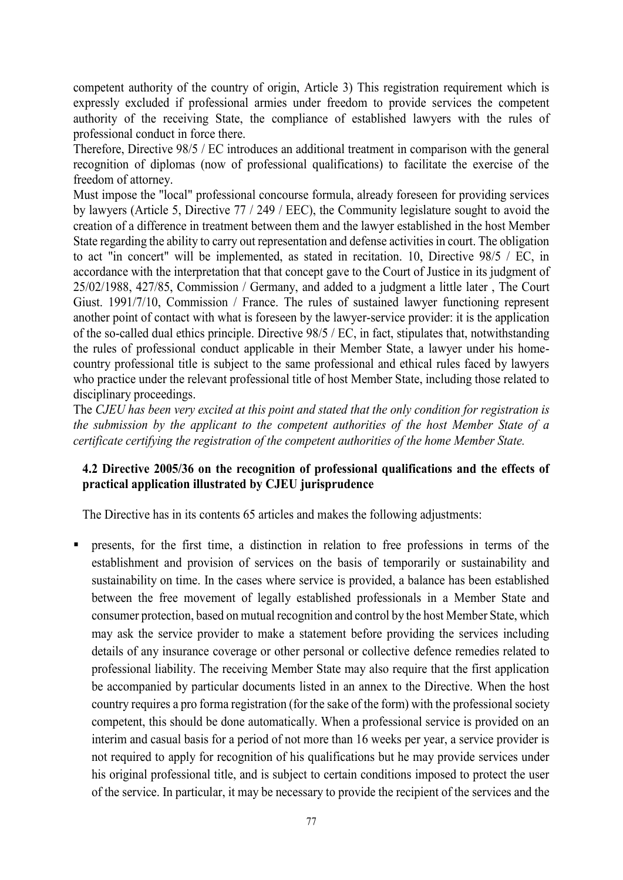competent authority of the country of origin, Article 3) This registration requirement which is expressly excluded if professional armies under freedom to provide services the competent authority of the receiving State, the compliance of established lawyers with the rules of professional conduct in force there.

Therefore, Directive 98/5 / EC introduces an additional treatment in comparison with the general recognition of diplomas (now of professional qualifications) to facilitate the exercise of the freedom of attorney.

Must impose the "local" professional concourse formula, already foreseen for providing services by lawyers (Article 5, Directive 77 / 249 / EEC), the Community legislature sought to avoid the creation of a difference in treatment between them and the lawyer established in the host Member State regarding the ability to carry out representation and defense activities in court. The obligation to act "in concert" will be implemented, as stated in recitation. 10, Directive 98/5 / EC, in accordance with the interpretation that that concept gave to the Court of Justice in its judgment of 25/02/1988, 427/85, Commission / Germany, and added to a judgment a little later , The Court Giust. 1991/7/10, Commission / France. The rules of sustained lawyer functioning represent another point of contact with what is foreseen by the lawyer-service provider: it is the application of the so-called dual ethics principle. Directive 98/5 / EC, in fact, stipulates that, notwithstanding the rules of professional conduct applicable in their Member State, a lawyer under his homecountry professional title is subject to the same professional and ethical rules faced by lawyers who practice under the relevant professional title of host Member State, including those related to disciplinary proceedings.

The *CJEU has been very excited at this point and stated that the only condition for registration is the submission by the applicant to the competent authorities of the host Member State of a certificate certifying the registration of the competent authorities of the home Member State.*

### **4.2 Directive 2005/36 on the recognition of professional qualifications and the effects of practical application illustrated by CJEU jurisprudence**

The Directive has in its contents 65 articles and makes the following adjustments:

 presents, for the first time, a distinction in relation to free professions in terms of the establishment and provision of services on the basis of temporarily or sustainability and sustainability on time. In the cases where service is provided, a balance has been established between the free movement of legally established professionals in a Member State and consumer protection, based on mutual recognition and control by the host Member State, which may ask the service provider to make a statement before providing the services including details of any insurance coverage or other personal or collective defence remedies related to professional liability. The receiving Member State may also require that the first application be accompanied by particular documents listed in an annex to the Directive. When the host country requires a pro forma registration (for the sake of the form) with the professional society competent, this should be done automatically. When a professional service is provided on an interim and casual basis for a period of not more than 16 weeks per year, a service provider is not required to apply for recognition of his qualifications but he may provide services under his original professional title, and is subject to certain conditions imposed to protect the user of the service. In particular, it may be necessary to provide the recipient of the services and the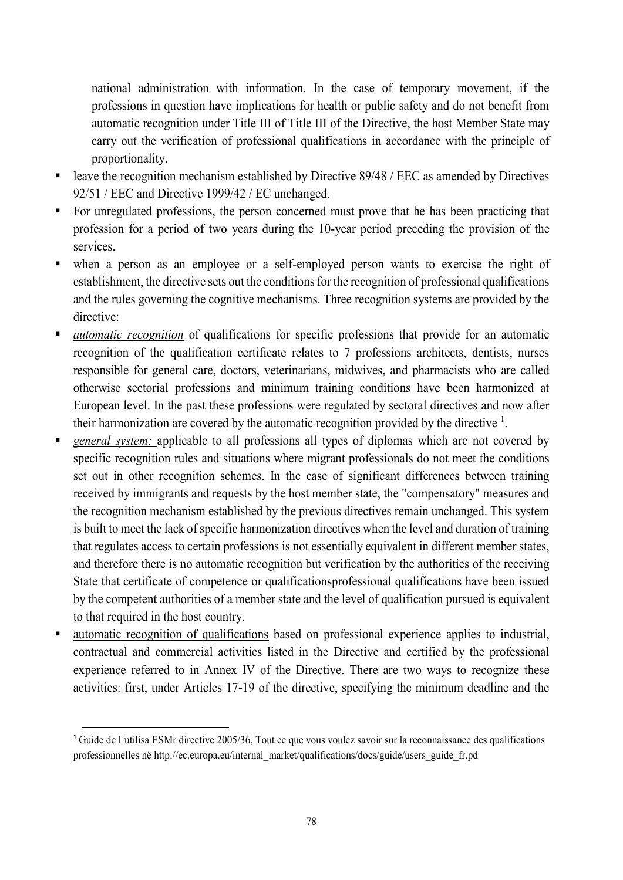national administration with information. In the case of temporary movement, if the professions in question have implications for health or public safety and do not benefit from automatic recognition under Title III of Title III of the Directive, the host Member State may carry out the verification of professional qualifications in accordance with the principle of proportionality.

- **Example 1** leave the recognition mechanism established by Directive 89/48 / EEC as amended by Directives 92/51 / EEC and Directive 1999/42 / EC unchanged.
- For unregulated professions, the person concerned must prove that he has been practicing that profession for a period of two years during the 10-year period preceding the provision of the services.
- when a person as an employee or a self-employed person wants to exercise the right of establishment, the directive sets out the conditions for the recognition of professional qualifications and the rules governing the cognitive mechanisms. Three recognition systems are provided by the directive:
- *automatic recognition* of qualifications for specific professions that provide for an automatic recognition of the qualification certificate relates to 7 professions architects, dentists, nurses responsible for general care, doctors, veterinarians, midwives, and pharmacists who are called otherwise sectorial professions and minimum training conditions have been harmonized at European level. In the past these professions were regulated by sectoral directives and now after their harmonization are covered by the automatic recognition provided by the directive  $1$ .
- *general system:* applicable to all professions all types of diplomas which are not covered by specific recognition rules and situations where migrant professionals do not meet the conditions set out in other recognition schemes. In the case of significant differences between training received by immigrants and requests by the host member state, the "compensatory" measures and the recognition mechanism established by the previous directives remain unchanged. This system is built to meet the lack of specific harmonization directives when the level and duration of training that regulates access to certain professions is not essentially equivalent in different member states, and therefore there is no automatic recognition but verification by the authorities of the receiving State that certificate of competence or qualificationsprofessional qualifications have been issued by the competent authorities of a member state and the level of qualification pursued is equivalent to that required in the host country.
- automatic recognition of qualifications based on professional experience applies to industrial, contractual and commercial activities listed in the Directive and certified by the professional experience referred to in Annex IV of the Directive. There are two ways to recognize these activities: first, under Articles 17-19 of the directive, specifying the minimum deadline and the

-

<sup>1</sup> Guide de l´utilisa ESMr directive 2005/36, Tout ce que vous voulez savoir sur la reconnaissance des qualifications professionnelles në http://ec.europa.eu/internal\_market/qualifications/docs/guide/users\_guide\_fr.pd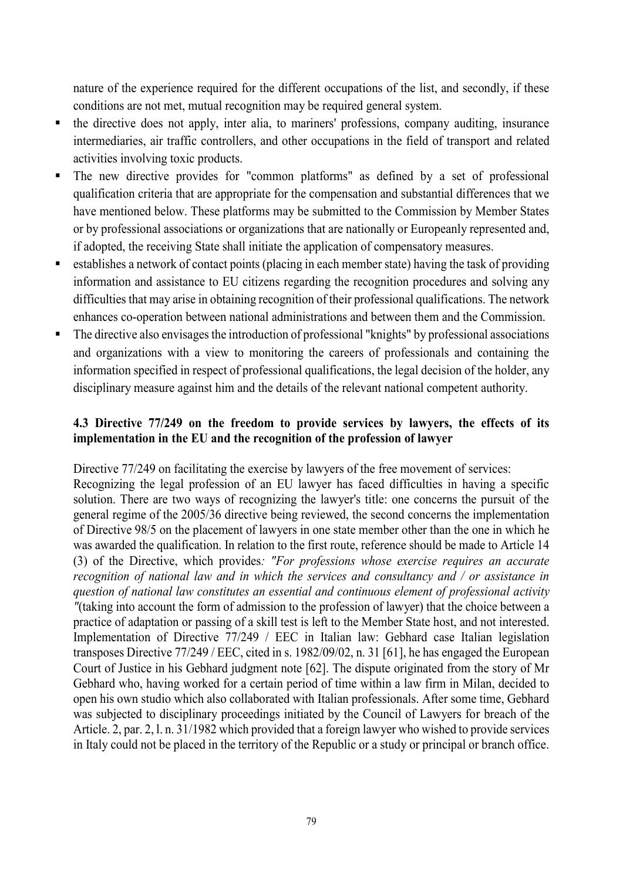nature of the experience required for the different occupations of the list, and secondly, if these conditions are not met, mutual recognition may be required general system.

- the directive does not apply, inter alia, to mariners' professions, company auditing, insurance intermediaries, air traffic controllers, and other occupations in the field of transport and related activities involving toxic products.
- The new directive provides for "common platforms" as defined by a set of professional qualification criteria that are appropriate for the compensation and substantial differences that we have mentioned below. These platforms may be submitted to the Commission by Member States or by professional associations or organizations that are nationally or Europeanly represented and, if adopted, the receiving State shall initiate the application of compensatory measures.
- establishes a network of contact points (placing in each member state) having the task of providing information and assistance to EU citizens regarding the recognition procedures and solving any difficulties that may arise in obtaining recognition of their professional qualifications. The network enhances co-operation between national administrations and between them and the Commission.
- The directive also envisages the introduction of professional "knights" by professional associations and organizations with a view to monitoring the careers of professionals and containing the information specified in respect of professional qualifications, the legal decision of the holder, any disciplinary measure against him and the details of the relevant national competent authority.

## **4.3 Directive 77/249 on the freedom to provide services by lawyers, the effects of its implementation in the EU and the recognition of the profession of lawyer**

Directive 77/249 on facilitating the exercise by lawyers of the free movement of services:

Recognizing the legal profession of an EU lawyer has faced difficulties in having a specific solution. There are two ways of recognizing the lawyer's title: one concerns the pursuit of the general regime of the 2005/36 directive being reviewed, the second concerns the implementation of Directive 98/5 on the placement of lawyers in one state member other than the one in which he was awarded the qualification. In relation to the first route, reference should be made to Article 14 (3) of the Directive, which provides*: "For professions whose exercise requires an accurate recognition of national law and in which the services and consultancy and / or assistance in question of national law constitutes an essential and continuous element of professional activity "*(taking into account the form of admission to the profession of lawyer) that the choice between a practice of adaptation or passing of a skill test is left to the Member State host, and not interested. Implementation of Directive 77/249 / EEC in Italian law: Gebhard case Italian legislation transposes Directive 77/249 / EEC, cited in s. 1982/09/02, n. 31 [61], he has engaged the European Court of Justice in his Gebhard judgment note [62]. The dispute originated from the story of Mr Gebhard who, having worked for a certain period of time within a law firm in Milan, decided to open his own studio which also collaborated with Italian professionals. After some time, Gebhard was subjected to disciplinary proceedings initiated by the Council of Lawyers for breach of the Article. 2, par. 2, l. n. 31/1982 which provided that a foreign lawyer who wished to provide services in Italy could not be placed in the territory of the Republic or a study or principal or branch office.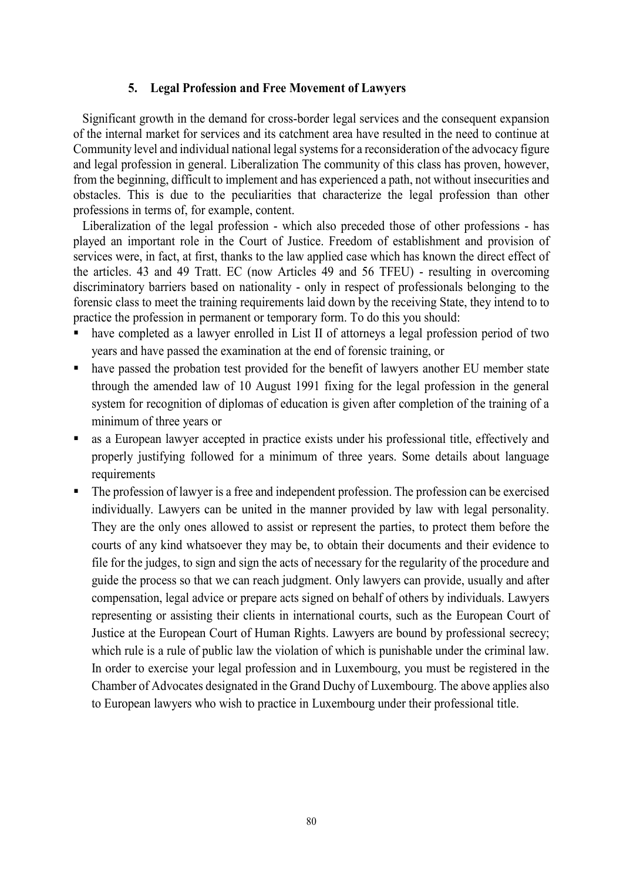#### **5. Legal Profession and Free Movement of Lawyers**

Significant growth in the demand for cross-border legal services and the consequent expansion of the internal market for services and its catchment area have resulted in the need to continue at Community level and individual national legal systems for a reconsideration of the advocacy figure and legal profession in general. Liberalization The community of this class has proven, however, from the beginning, difficult to implement and has experienced a path, not without insecurities and obstacles. This is due to the peculiarities that characterize the legal profession than other professions in terms of, for example, content.

Liberalization of the legal profession - which also preceded those of other professions - has played an important role in the Court of Justice. Freedom of establishment and provision of services were, in fact, at first, thanks to the law applied case which has known the direct effect of the articles. 43 and 49 Tratt. EC (now Articles 49 and 56 TFEU) - resulting in overcoming discriminatory barriers based on nationality - only in respect of professionals belonging to the forensic class to meet the training requirements laid down by the receiving State, they intend to to practice the profession in permanent or temporary form. To do this you should:

- have completed as a lawyer enrolled in List II of attorneys a legal profession period of two years and have passed the examination at the end of forensic training, or
- have passed the probation test provided for the benefit of lawyers another EU member state through the amended law of 10 August 1991 fixing for the legal profession in the general system for recognition of diplomas of education is given after completion of the training of a minimum of three years or
- as a European lawyer accepted in practice exists under his professional title, effectively and properly justifying followed for a minimum of three years. Some details about language requirements
- The profession of lawyer is a free and independent profession. The profession can be exercised individually. Lawyers can be united in the manner provided by law with legal personality. They are the only ones allowed to assist or represent the parties, to protect them before the courts of any kind whatsoever they may be, to obtain their documents and their evidence to file for the judges, to sign and sign the acts of necessary for the regularity of the procedure and guide the process so that we can reach judgment. Only lawyers can provide, usually and after compensation, legal advice or prepare acts signed on behalf of others by individuals. Lawyers representing or assisting their clients in international courts, such as the European Court of Justice at the European Court of Human Rights. Lawyers are bound by professional secrecy; which rule is a rule of public law the violation of which is punishable under the criminal law. In order to exercise your legal profession and in Luxembourg, you must be registered in the Chamber of Advocates designated in the Grand Duchy of Luxembourg. The above applies also to European lawyers who wish to practice in Luxembourg under their professional title.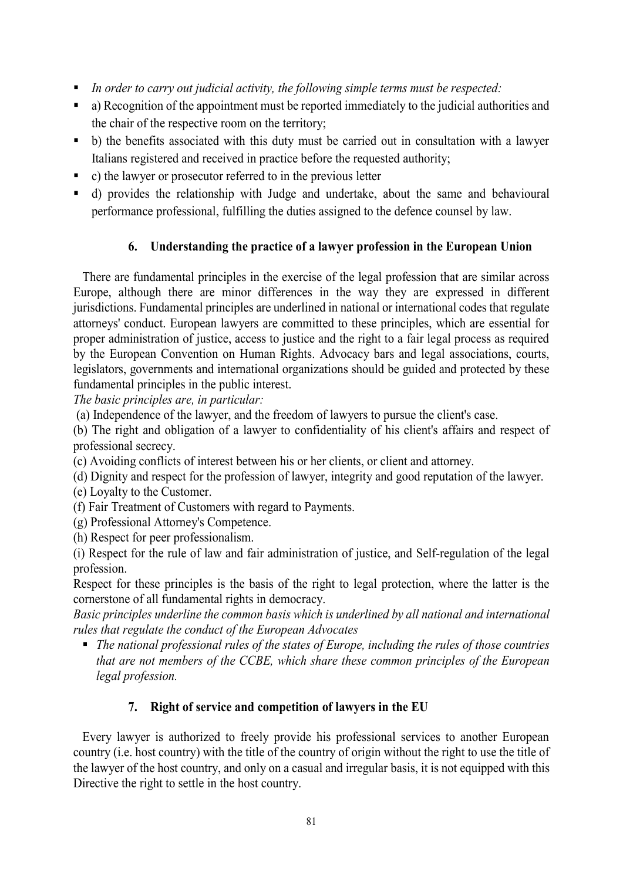- *In order to carry out judicial activity, the following simple terms must be respected:*
- a) Recognition of the appointment must be reported immediately to the judicial authorities and the chair of the respective room on the territory;
- b) the benefits associated with this duty must be carried out in consultation with a lawyer Italians registered and received in practice before the requested authority;
- c) the lawyer or prosecutor referred to in the previous letter
- d) provides the relationship with Judge and undertake, about the same and behavioural performance professional, fulfilling the duties assigned to the defence counsel by law.

# **6. Understanding the practice of a lawyer profession in the European Union**

There are fundamental principles in the exercise of the legal profession that are similar across Europe, although there are minor differences in the way they are expressed in different jurisdictions. Fundamental principles are underlined in national or international codes that regulate attorneys' conduct. European lawyers are committed to these principles, which are essential for proper administration of justice, access to justice and the right to a fair legal process as required by the European Convention on Human Rights. Advocacy bars and legal associations, courts, legislators, governments and international organizations should be guided and protected by these fundamental principles in the public interest.

*The basic principles are, in particular:*

(a) Independence of the lawyer, and the freedom of lawyers to pursue the client's case.

(b) The right and obligation of a lawyer to confidentiality of his client's affairs and respect of professional secrecy.

(c) Avoiding conflicts of interest between his or her clients, or client and attorney.

(d) Dignity and respect for the profession of lawyer, integrity and good reputation of the lawyer.

(e) Loyalty to the Customer.

(f) Fair Treatment of Customers with regard to Payments.

(g) Professional Attorney's Competence.

(h) Respect for peer professionalism.

(i) Respect for the rule of law and fair administration of justice, and Self-regulation of the legal profession.

Respect for these principles is the basis of the right to legal protection, where the latter is the cornerstone of all fundamental rights in democracy.

*Basic principles underline the common basis which is underlined by all national and international rules that regulate the conduct of the European Advocates*

 *The national professional rules of the states of Europe, including the rules of those countries that are not members of the CCBE, which share these common principles of the European legal profession.*

### **7. Right of service and competition of lawyers in the EU**

Every lawyer is authorized to freely provide his professional services to another European country (i.e. host country) with the title of the country of origin without the right to use the title of the lawyer of the host country, and only on a casual and irregular basis, it is not equipped with this Directive the right to settle in the host country.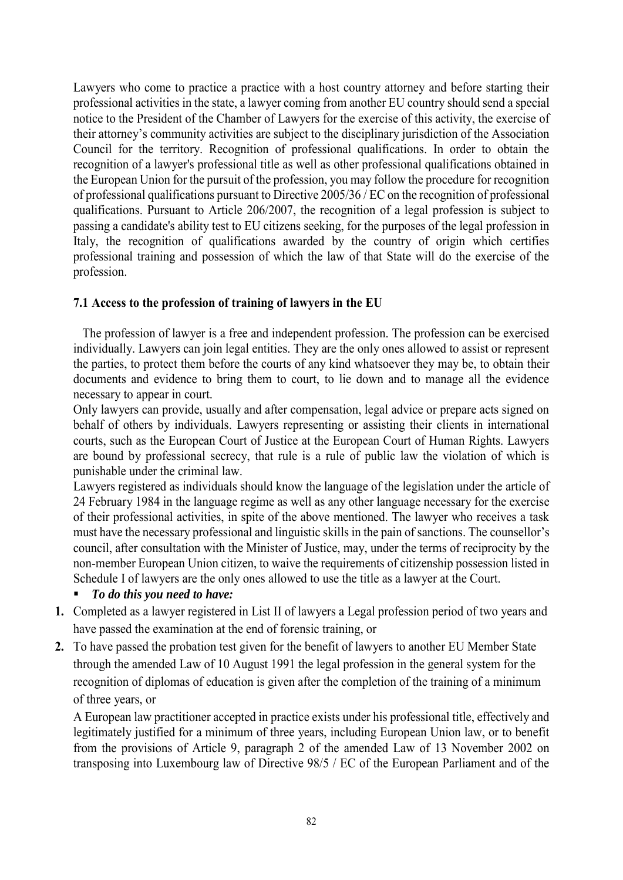Lawyers who come to practice a practice with a host country attorney and before starting their professional activities in the state, a lawyer coming from another EU country should send a special notice to the President of the Chamber of Lawyers for the exercise of this activity, the exercise of their attorney's community activities are subject to the disciplinary jurisdiction of the Association Council for the territory. Recognition of professional qualifications. In order to obtain the recognition of a lawyer's professional title as well as other professional qualifications obtained in the European Union for the pursuit of the profession, you may follow the procedure for recognition of professional qualifications pursuant to Directive 2005/36 / EC on the recognition of professional qualifications. Pursuant to Article 206/2007, the recognition of a legal profession is subject to passing a candidate's ability test to EU citizens seeking, for the purposes of the legal profession in Italy, the recognition of qualifications awarded by the country of origin which certifies professional training and possession of which the law of that State will do the exercise of the profession.

### **7.1 Access to the profession of training of lawyers in the EU**

The profession of lawyer is a free and independent profession. The profession can be exercised individually. Lawyers can join legal entities. They are the only ones allowed to assist or represent the parties, to protect them before the courts of any kind whatsoever they may be, to obtain their documents and evidence to bring them to court, to lie down and to manage all the evidence necessary to appear in court.

Only lawyers can provide, usually and after compensation, legal advice or prepare acts signed on behalf of others by individuals. Lawyers representing or assisting their clients in international courts, such as the European Court of Justice at the European Court of Human Rights. Lawyers are bound by professional secrecy, that rule is a rule of public law the violation of which is punishable under the criminal law.

Lawyers registered as individuals should know the language of the legislation under the article of 24 February 1984 in the language regime as well as any other language necessary for the exercise of their professional activities, in spite of the above mentioned. The lawyer who receives a task must have the necessary professional and linguistic skills in the pain of sanctions. The counsellor's council, after consultation with the Minister of Justice, may, under the terms of reciprocity by the non-member European Union citizen, to waive the requirements of citizenship possession listed in Schedule I of lawyers are the only ones allowed to use the title as a lawyer at the Court.

- *To do this you need to have:*
- **1.** Completed as a lawyer registered in List II of lawyers a Legal profession period of two years and have passed the examination at the end of forensic training, or
- **2.** To have passed the probation test given for the benefit of lawyers to another EU Member State through the amended Law of 10 August 1991 the legal profession in the general system for the recognition of diplomas of education is given after the completion of the training of a minimum of three years, or

A European law practitioner accepted in practice exists under his professional title, effectively and legitimately justified for a minimum of three years, including European Union law, or to benefit from the provisions of Article 9, paragraph 2 of the amended Law of 13 November 2002 on transposing into Luxembourg law of Directive 98/5 / EC of the European Parliament and of the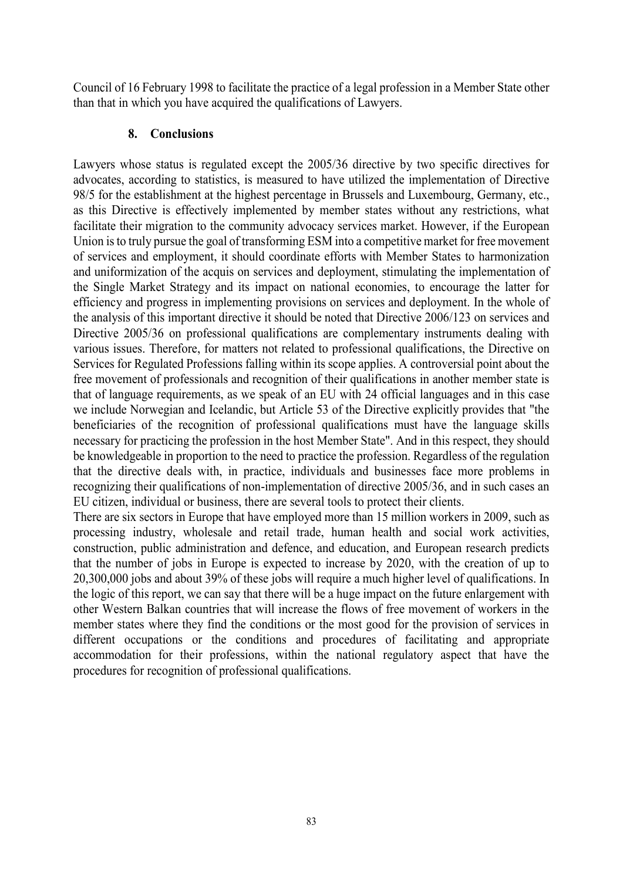Council of 16 February 1998 to facilitate the practice of a legal profession in a Member State other than that in which you have acquired the qualifications of Lawyers.

#### **8. Conclusions**

Lawyers whose status is regulated except the 2005/36 directive by two specific directives for advocates, according to statistics, is measured to have utilized the implementation of Directive 98/5 for the establishment at the highest percentage in Brussels and Luxembourg, Germany, etc., as this Directive is effectively implemented by member states without any restrictions, what facilitate their migration to the community advocacy services market. However, if the European Union is to truly pursue the goal of transforming ESM into a competitive market for free movement of services and employment, it should coordinate efforts with Member States to harmonization and uniformization of the acquis on services and deployment, stimulating the implementation of the Single Market Strategy and its impact on national economies, to encourage the latter for efficiency and progress in implementing provisions on services and deployment. In the whole of the analysis of this important directive it should be noted that Directive 2006/123 on services and Directive 2005/36 on professional qualifications are complementary instruments dealing with various issues. Therefore, for matters not related to professional qualifications, the Directive on Services for Regulated Professions falling within its scope applies. A controversial point about the free movement of professionals and recognition of their qualifications in another member state is that of language requirements, as we speak of an EU with 24 official languages and in this case we include Norwegian and Icelandic, but Article 53 of the Directive explicitly provides that "the beneficiaries of the recognition of professional qualifications must have the language skills necessary for practicing the profession in the host Member State". And in this respect, they should be knowledgeable in proportion to the need to practice the profession. Regardless of the regulation that the directive deals with, in practice, individuals and businesses face more problems in recognizing their qualifications of non-implementation of directive 2005/36, and in such cases an EU citizen, individual or business, there are several tools to protect their clients.

There are six sectors in Europe that have employed more than 15 million workers in 2009, such as processing industry, wholesale and retail trade, human health and social work activities, construction, public administration and defence, and education, and European research predicts that the number of jobs in Europe is expected to increase by 2020, with the creation of up to 20,300,000 jobs and about 39% of these jobs will require a much higher level of qualifications. In the logic of this report, we can say that there will be a huge impact on the future enlargement with other Western Balkan countries that will increase the flows of free movement of workers in the member states where they find the conditions or the most good for the provision of services in different occupations or the conditions and procedures of facilitating and appropriate accommodation for their professions, within the national regulatory aspect that have the procedures for recognition of professional qualifications.